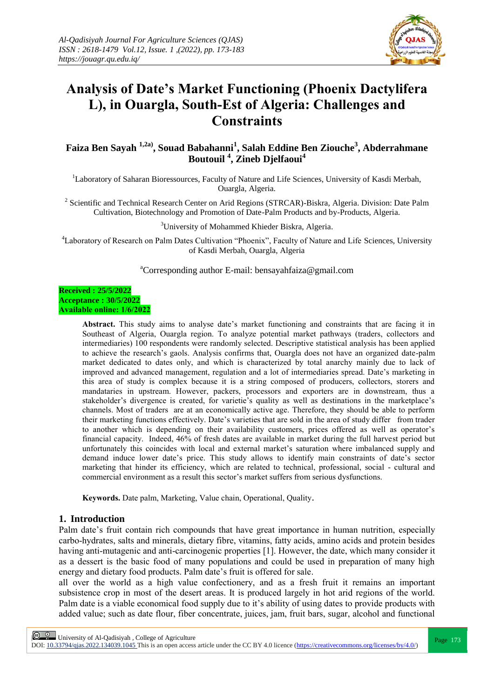

# **Analysis of Date's Market Functioning (Phoenix Dactylifera L), in Ouargla, South-Est of Algeria: Challenges and Constraints**

**Faiza Ben Sayah 1,2a), Souad Babahanni<sup>1</sup> , Salah Eddine Ben Ziouche<sup>3</sup> , Abderrahmane Boutouil <sup>4</sup> , Zineb Djelfaoui<sup>4</sup>**

<sup>1</sup>Laboratory of Saharan Bioressources, Faculty of Nature and Life Sciences, University of Kasdi Merbah, Ouargla, Algeria.

<sup>2</sup> Scientific and Technical Research Center on Arid Regions (STRCAR)-Biskra, Algeria. Division: Date Palm Cultivation, Biotechnology and Promotion of Date-Palm Products and by-Products, Algeria.

<sup>3</sup>University of Mohammed Khieder Biskra, Algeria.

<sup>4</sup>Laboratory of Research on Palm Dates Cultivation "Phoenix", Faculty of Nature and Life Sciences, University of Kasdi Merbah, Ouargla, Algeria

<sup>a</sup>Corresponding author E-mail: bensayahfaiza@gmail.com

#### **Received : 25/5/2022 Acceptance : 30/5/2022 Available online: 1/6/2022**

**Abstract.** This study aims to analyse date's market functioning and constraints that are facing it in Southeast of Algeria, Ouargla region. To analyze potential market pathways (traders, collectors and intermediaries) 100 respondents were randomly selected. Descriptive statistical analysis has been applied to achieve the research's gaols. Analysis confirms that, Ouargla does not have an organized date-palm market dedicated to dates only, and which is characterized by total anarchy mainly due to lack of improved and advanced management, regulation and a lot of intermediaries spread. Date's marketing in this area of study is complex because it is a string composed of producers, collectors, storers and mandataries in upstream. However, packers, processors and exporters are in downstream, thus a stakeholder's divergence is created, for varietie's quality as well as destinations in the marketplace's channels. Most of traders are at an economically active age. Therefore, they should be able to perform their marketing functions effectively. Date's varieties that are sold in the area of study differ from trader to another which is depending on their availability customers, prices offered as well as operator's financial capacity. Indeed, 46% of fresh dates are available in market during the full harvest period but unfortunately this coincides with local and external market's saturation where imbalanced supply and demand induce lower date's price. This study allows to identify main constraints of date's sector marketing that hinder its efficiency, which are related to technical, professional, social - cultural and commercial environment as a result this sector's market suffers from serious dysfunctions.

**Keywords.** Date palm, Marketing, Value chain, Operational, Quality.

## **1. Introduction**

Palm date's fruit contain rich compounds that have great importance in human nutrition, especially carbo-hydrates, salts and minerals, dietary fibre, vitamins, fatty acids, amino acids and protein besides having anti-mutagenic and anti-carcinogenic properties [1]. However, the date, which many consider it as a dessert is the basic food of many populations and could be used in preparation of many high energy and dietary food products. Palm date's fruit is offered for sale.

all over the world as a high value confectionery, and as a fresh fruit it remains an important subsistence crop in most of the desert areas. It is produced largely in hot arid regions of the world. Palm date is a viable economical food supply due to it's ability of using dates to provide products with added value; such as date flour, fiber concentrate, juices, jam, fruit bars, sugar, alcohol and functional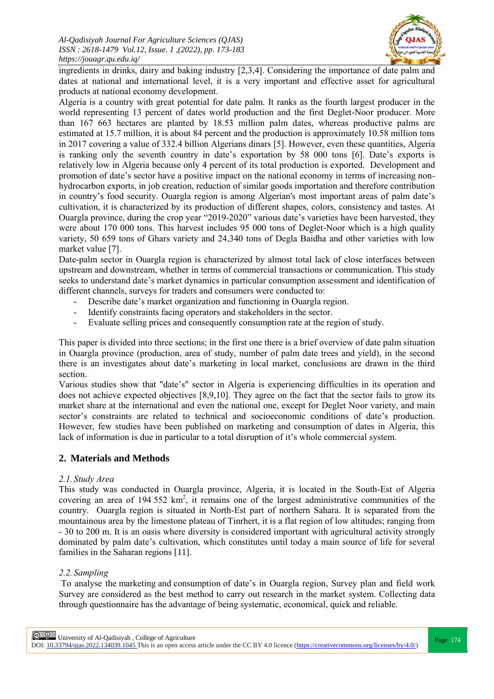

ingredients in drinks, dairy and baking industry [2,3,4]. Considering the importance of date palm and dates at national and international level, it is a very important and effective asset for agricultural products at national economy development.

Algeria is a country with great potential for date palm. It ranks as the fourth largest producer in the world representing 13 percent of dates world production and the first Deglet-Noor producer. More than 167 663 hectares are planted by 18.53 million palm dates, whereas productive palms are estimated at 15.7 million, it is about 84 percent and the production is approximately 10.58 million tons in 2017 covering a value of 332.4 billion Algerians dinars [5]. However, even these quantities, Algeria is ranking only the seventh country in date's exportation by 58 000 tons [6]. Date's exports is relatively low in Algeria because only 4 percent of its total production is exported. Development and promotion of date's sector have a positive impact on the national economy in terms of increasing nonhydrocarbon exports, in job creation, reduction of similar goods importation and therefore contribution in country's food security. Ouargla region is among Algerian's most important areas of palm date's cultivation, it is characterized by its production of different shapes, colors, consistency and tastes. At Ouargla province, during the crop year "2019-2020" various date's varieties have been harvested, they were about 170 000 tons. This harvest includes 95 000 tons of Deglet-Noor which is a high quality variety, 50 659 tons of Ghars variety and 24,340 tons of Degla Baidha and other varieties with low market value [7].

Date-palm sector in Ouargla region is characterized by almost total lack of close interfaces between upstream and downstream, whether in terms of commercial transactions or communication. This study seeks to understand date's market dynamics in particular consumption assessment and identification of different channels, surveys for traders and consumers were conducted to:

- Describe date's market organization and functioning in Ouargla region.
- Identify constraints facing operators and stakeholders in the sector.
- Evaluate selling prices and consequently consumption rate at the region of study.

This paper is divided into three sections; in the first one there is a brief overview of date palm situation in Ouargla province (production, area of study, number of palm date trees and yield), in the second there is an investigates about date's marketing in local market, conclusions are drawn in the third section.

Various studies show that "date's" sector in Algeria is experiencing difficulties in its operation and does not achieve expected objectives [8,9,10]. They agree on the fact that the sector fails to grow its market share at the international and even the national one, except for Deglet Noor variety, and main sector's constraints are related to technical and socioeconomic conditions of date's production. However, few studies have been published on marketing and consumption of dates in Algeria, this lack of information is due in particular to a total disruption of it's whole commercial system.

# **2. Materials and Methods**

## *2.1. Study Area*

This study was conducted in Ouargla province, Algeria, it is located in the South-Est of Algeria covering an area of 194 552  $km^2$ , it remains one of the largest administrative communities of the country. Ouargla region is situated in North-Est part of northern Sahara. It is separated from the mountainous area by the limestone plateau of Tinrhert, it is a flat region of low altitudes; ranging from - 30 to 200 m. It is an oasis where diversity is considered important with agricultural activity strongly dominated by palm date's cultivation, which constitutes until today a main source of life for several families in the Saharan regions [11].

# *2.2. Sampling*

To analyse the marketing and consumption of date's in Ouargla region, Survey plan and field work Survey are considered as the best method to carry out research in the market system. Collecting data through questionnaire has the advantage of being systematic, economical, quick and reliable.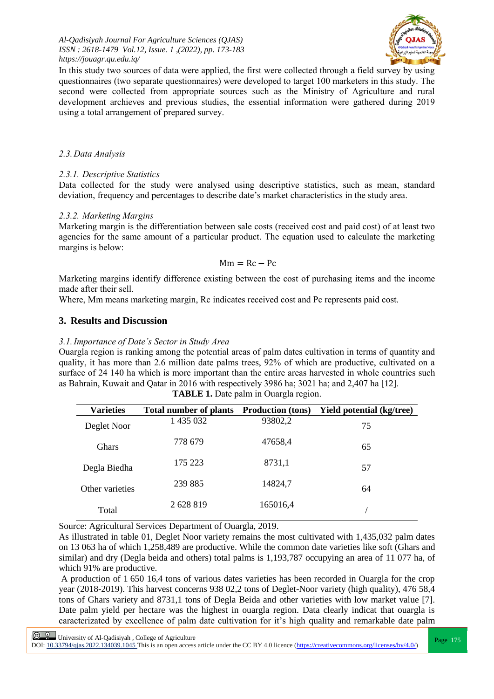*Al-Qadisiyah Journal For Agriculture Sciences (QJAS) ISSN : 2618-1479 Vol.12, Issue. 1 ,(2022), pp. 173-183 https://jouagr.qu.edu.iq/*



In this study two sources of data were applied, the first were collected through a field survey by using questionnaires (two separate questionnaires) were developed to target 100 marketers in this study. The second were collected from appropriate sources such as the Ministry of Agriculture and rural development archieves and previous studies, the essential information were gathered during 2019 using a total arrangement of prepared survey.

## *2.3.Data Analysis*

# *2.3.1. Descriptive Statistics*

Data collected for the study were analysed using descriptive statistics, such as mean, standard deviation, frequency and percentages to describe date's market characteristics in the study area.

# *2.3.2. Marketing Margins*

Marketing margin is the differentiation between sale costs (received cost and paid cost) of at least two agencies for the same amount of a particular product. The equation used to calculate the marketing margins is below:

## $Mm = Rc - Pc$

Marketing margins identify difference existing between the cost of purchasing items and the income made after their sell.

Where, Mm means marketing margin, Rc indicates received cost and Pc represents paid cost.

# **3. Results and Discussion**

## *3.1.Importance of Date's Sector in Study Area*

Ouargla region is ranking among the potential areas of palm dates cultivation in terms of quantity and quality, it has more than 2.6 million date palms trees, 92% of which are productive, cultivated on a surface of 24 140 ha which is more important than the entire areas harvested in whole countries such as Bahrain, Kuwait and Qatar in 2016 with respectively 3986 ha; 3021 ha; and 2,407 ha [12].

| <b>Varieties</b> | Total number of plants Production (tons) |          | <b>Yield potential (kg/tree)</b> |
|------------------|------------------------------------------|----------|----------------------------------|
| Deglet Noor      | 1 435 032                                | 93802,2  | 75                               |
| <b>Ghars</b>     | 778 679                                  | 47658,4  | 65                               |
| Degla-Biedha     | 175 223                                  | 8731,1   | 57                               |
| Other varieties  | 239 885                                  | 14824,7  | 64                               |
| Total            | 2 628 819                                | 165016,4 |                                  |

**TABLE 1.** Date palm in Ouargla region.

Source: Agricultural Services Department of Ouargla, 2019.

As illustrated in table 01, Deglet Noor variety remains the most cultivated with 1,435,032 palm dates on 13 063 ha of which 1,258,489 are productive. While the common date varieties like soft (Ghars and similar) and dry (Degla beida and others) total palms is 1,193,787 occupying an area of 11 077 ha, of which 91% are productive.

A production of 1 650 16,4 tons of various dates varieties has been recorded in Ouargla for the crop year (2018-2019). This harvest concerns 938 02,2 tons of Deglet-Noor variety (high quality), 476 58,4 tons of Ghars variety and 8731,1 tons of Degla Beida and other varieties with low market value [7]. Date palm yield per hectare was the highest in ouargla region. Data clearly indicat that ouargla is caracterizated by excellence of palm date cultivation for it's high quality and remarkable date palm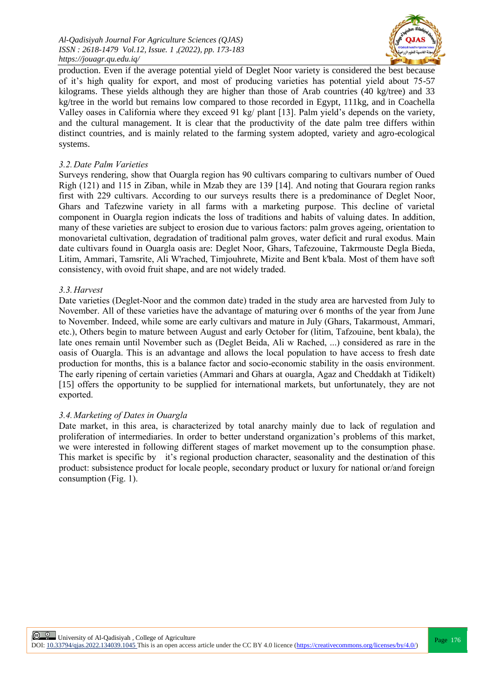*Al-Qadisiyah Journal For Agriculture Sciences (QJAS) ISSN : 2618-1479 Vol.12, Issue. 1 ,(2022), pp. 173-183 https://jouagr.qu.edu.iq/*



production. Even if the average potential yield of Deglet Noor variety is considered the best because of it's high quality for export, and most of producing varieties has potential yield about 75-57 kilograms. These yields although they are higher than those of Arab countries (40 kg/tree) and 33 kg/tree in the world but remains low compared to those recorded in Egypt, 111kg, and in Coachella Valley oases in California where they exceed 91 kg/ plant [13]. Palm yield's depends on the variety, and the cultural management. It is clear that the productivity of the date palm tree differs within distinct countries, and is mainly related to the farming system adopted, variety and agro-ecological systems.

#### *3.2.Date Palm Varieties*

Surveys rendering, show that Ouargla region has 90 cultivars comparing to cultivars number of Oued Righ (121) and 115 in Ziban, while in Mzab they are 139 [14]. And noting that Gourara region ranks first with 229 cultivars. According to our surveys results there is a predominance of Deglet Noor, Ghars and Tafezwine variety in all farms with a marketing purpose. This decline of varietal component in Ouargla region indicats the loss of traditions and habits of valuing dates. In addition, many of these varieties are subject to erosion due to various factors: palm groves ageing, orientation to monovarietal cultivation, degradation of traditional palm groves, water deficit and rural exodus. Main date cultivars found in Ouargla oasis are: Deglet Noor, Ghars, Tafezouine, Takrmouste Degla Bieda, Litim, Ammari, Tamsrite, Ali W'rached, Timjouhrete, Mizite and Bent k'bala. Most of them have soft consistency, with ovoid fruit shape, and are not widely traded.

#### *3.3.Harvest*

Date varieties (Deglet-Noor and the common date) traded in the study area are harvested from July to November. All of these varieties have the advantage of maturing over 6 months of the year from June to November. Indeed, while some are early cultivars and mature in July (Ghars, Takarmoust, Ammari, etc.), Others begin to mature between August and early October for (litim, Tafzouine, bent kbala), the late ones remain until November such as (Deglet Beida, Ali w Rached, ...) considered as rare in the oasis of Ouargla. This is an advantage and allows the local population to have access to fresh date production for months, this is a balance factor and socio-economic stability in the oasis environment. The early ripening of certain varieties (Ammari and Ghars at ouargla, Agaz and Cheddakh at Tidikelt) [15] offers the opportunity to be supplied for international markets, but unfortunately, they are not exported.

## *3.4.Marketing of Dates in Ouargla*

Date market, in this area, is characterized by total anarchy mainly due to lack of regulation and proliferation of intermediaries. In order to better understand organization's problems of this market, we were interested in following different stages of market movement up to the consumption phase. This market is specific by it's regional production character, seasonality and the destination of this product: subsistence product for locale people, secondary product or luxury for national or/and foreign consumption (Fig. 1).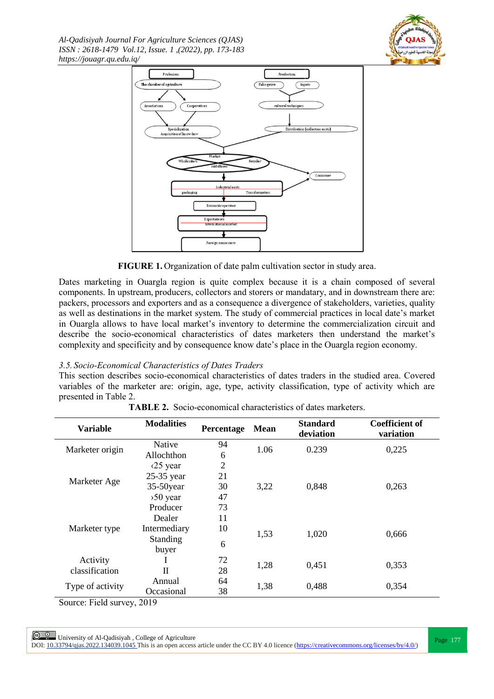*Al-Qadisiyah Journal For Agriculture Sciences (QJAS) ISSN : 2618-1479 Vol.12, Issue. 1 ,(2022), pp. 173-183 https://jouagr.qu.edu.iq/*





**FIGURE 1.** Organization of date palm cultivation sector in study area.

Dates marketing in Ouargla region is quite complex because it is a chain composed of several components. In upstream, producers, collectors and storers or mandatary, and in downstream there are: packers, processors and exporters and as a consequence a divergence of stakeholders, varieties, quality as well as destinations in the market system. The study of commercial practices in local date's market in Ouargla allows to have local market's inventory to determine the commercialization circuit and describe the socio-economical characteristics of dates marketers then understand the market's complexity and specificity and by consequence know date's place in the Ouargla region economy.

# *3.5. Socio-Economical Characteristics of Dates Traders*

This section describes socio-economical characteristics of dates traders in the studied area. Covered variables of the marketer are: origin, age, type, activity classification, type of activity which are presented in Table 2.

| <b>Variable</b>          | <b>Modalities</b>         | Percentage     | <b>Mean</b> | <b>Standard</b><br>deviation | <b>Coefficient of</b><br>variation |  |
|--------------------------|---------------------------|----------------|-------------|------------------------------|------------------------------------|--|
| Marketer origin          | Native                    | 94             | 1.06        | 0.239                        | 0,225                              |  |
|                          | Allochthon                | 6              |             |                              |                                    |  |
|                          | $\langle 25 \rangle$ year | $\overline{2}$ |             |                              |                                    |  |
|                          | 25-35 year                | 21             |             |                              |                                    |  |
| Marketer Age             | $35-50$ year              | 30             | 3,22        | 0,848                        | 0,263                              |  |
|                          | $50$ year                 | 47             |             |                              |                                    |  |
|                          | Producer                  | 73             |             |                              |                                    |  |
|                          | Dealer                    | 11             |             |                              |                                    |  |
| Marketer type            | Intermediary              | 10             |             |                              |                                    |  |
|                          | Standing                  | 6              | 1,53        | 1,020                        | 0,666                              |  |
|                          | buyer                     |                |             |                              |                                    |  |
| Activity                 |                           | 72             | 1,28        | 0,451                        | 0,353                              |  |
| classification           | $\mathbf{H}$              | 28             |             |                              |                                    |  |
|                          | Annual                    | 64             |             | 0,488                        | 0,354                              |  |
| Type of activity         | Occasional                | 38             | 1,38        |                              |                                    |  |
| $\sim$<br>$\mathbf{r}$ . | $\sim$ $\sim$ $\sim$      |                |             |                              |                                    |  |

| <b>TABLE 2.</b> Socio-economical characteristics of dates marketers. |
|----------------------------------------------------------------------|
|----------------------------------------------------------------------|

Source: Field survey, 2019

**Page 177**<br>Page 177 | University of Al-Qadisiyah , College of Agriculture<br>Page 177 DOI:  $10.33794/q$ jas.2022.134039.1045 This is an open access article under the CC BY 4.0 licence (https://creativecommons.org/licenses/by/4.0/)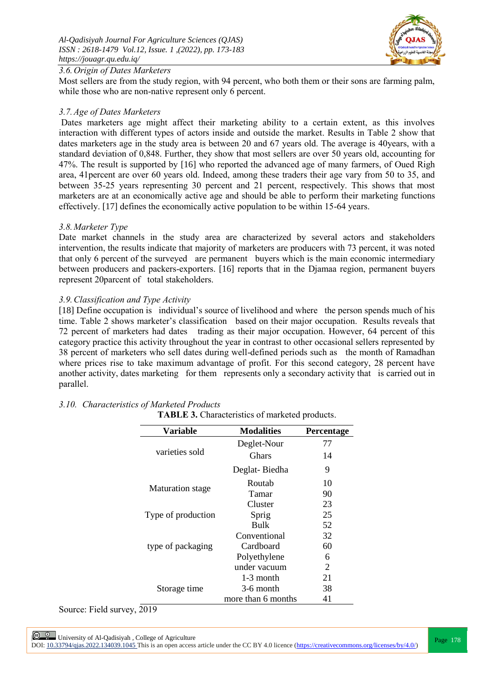

# *3.6.Origin of Dates Marketers*

Most sellers are from the study region, with 94 percent, who both them or their sons are farming palm, while those who are non-native represent only 6 percent.

## *3.7.Age of Dates Marketers*

Dates marketers age might affect their marketing ability to a certain extent, as this involves interaction with different types of actors inside and outside the market. Results in Table 2 show that dates marketers age in the study area is between 20 and 67 years old. The average is 40years, with a standard deviation of 0,848. Further, they show that most sellers are over 50 years old, accounting for 47%. The result is supported by [16] who reported the advanced age of many farmers, of Oued Righ area, 41percent are over 60 years old. Indeed, among these traders their age vary from 50 to 35, and between 35-25 years representing 30 percent and 21 percent, respectively. This shows that most marketers are at an economically active age and should be able to perform their marketing functions effectively. [17] defines the economically active population to be within 15-64 years.

## *3.8.Marketer Type*

Date market channels in the study area are characterized by several actors and stakeholders intervention, the results indicate that majority of marketers are producers with 73 percent, it was noted that only 6 percent of the surveyed are permanent buyers which is the main economic intermediary between producers and packers-exporters. [16] reports that in the Djamaa region, permanent buyers represent 20parcent of total stakeholders.

# *3.9.Classification and Type Activity*

[18] Define occupation is individual's source of livelihood and where the person spends much of his time. Table 2 shows marketer's classification based on their major occupation. Results reveals that 72 percent of marketers had dates trading as their major occupation. However, 64 percent of this category practice this activity throughout the year in contrast to other occasional sellers represented by 38 percent of marketers who sell dates during well-defined periods such as the month of Ramadhan where prices rise to take maximum advantage of profit. For this second category, 28 percent have another activity, dates marketing for them represents only a secondary activity that is carried out in parallel.

| <b>TABLE 3.</b> Characteristics of marketed products. |                    |            |  |  |  |
|-------------------------------------------------------|--------------------|------------|--|--|--|
| Variable                                              | <b>Modalities</b>  | Percentage |  |  |  |
|                                                       | Deglet-Nour        | 77         |  |  |  |
| varieties sold                                        | <b>Ghars</b>       | 14         |  |  |  |
|                                                       | Deglat-Biedha      | 9          |  |  |  |
|                                                       | Routab             | 10         |  |  |  |
| <b>Maturation</b> stage                               | Tamar              | 90         |  |  |  |
|                                                       | Cluster            | 23         |  |  |  |
| Type of production                                    | Sprig              |            |  |  |  |
|                                                       | Bulk               | 52         |  |  |  |
|                                                       | Conventional       | 32         |  |  |  |
| type of packaging                                     | Cardboard          | 60         |  |  |  |
|                                                       | Polyethylene       | 6          |  |  |  |
|                                                       | under vacuum       | 2          |  |  |  |
|                                                       | $1-3$ month        | 21         |  |  |  |
| Storage time                                          | 3-6 month          | 38         |  |  |  |
|                                                       | more than 6 months | 41         |  |  |  |

# *3.10. Characteristics of Marketed Products*

Source: Field survey, 2019

**Page 178** University of Al-Qadisiyah , College of Agriculture<br>DOI: <u>10.33794/qjas.2022.134039.1045</u> This is an open access article under the CC BY 4.0 licence (https://creativecommons.org/licenses/by/4.0/)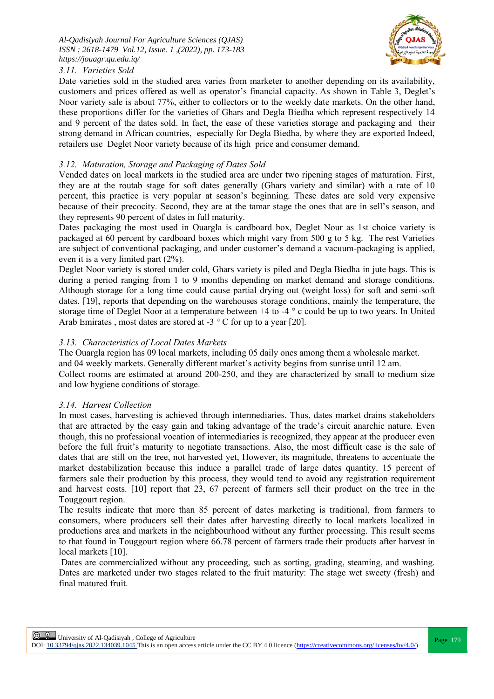

# *3.11. Varieties Sold*

Date varieties sold in the studied area varies from marketer to another depending on its availability, customers and prices offered as well as operator's financial capacity. As shown in Table 3, Deglet's Noor variety sale is about 77%, either to collectors or to the weekly date markets. On the other hand, these proportions differ for the varieties of Ghars and Degla Biedha which represent respectively 14 and 9 percent of the dates sold. In fact, the ease of these varieties storage and packaging and their strong demand in African countries, especially for Degla Biedha, by where they are exported Indeed, retailers use Deglet Noor variety because of its high price and consumer demand.

# *3.12. Maturation, Storage and Packaging of Dates Sold*

Vended dates on local markets in the studied area are under two ripening stages of maturation. First, they are at the routab stage for soft dates generally (Ghars variety and similar) with a rate of 10 percent, this practice is very popular at season's beginning. These dates are sold very expensive because of their precocity. Second, they are at the tamar stage the ones that are in sell's season, and they represents 90 percent of dates in full maturity.

Dates packaging the most used in Ouargla is cardboard box, Deglet Nour as 1st choice variety is packaged at 60 percent by cardboard boxes which might vary from 500 g to 5 kg. The rest Varieties are subject of conventional packaging, and under customer's demand a vacuum-packaging is applied, even it is a very limited part (2%).

Deglet Noor variety is stored under cold, Ghars variety is piled and Degla Biedha in jute bags. This is during a period ranging from 1 to 9 months depending on market demand and storage conditions. Although storage for a long time could cause partial drying out (weight loss) for soft and semi-soft dates. [19], reports that depending on the warehouses storage conditions, mainly the temperature, the storage time of Deglet Noor at a temperature between +4 to -4 ° c could be up to two years. In United Arab Emirates, most dates are stored at  $-3$  ° C for up to a year [20].

# *3.13. Characteristics of Local Dates Markets*

The Ouargla region has 09 local markets, including 05 daily ones among them a wholesale market. and 04 weekly markets. Generally different market's activity begins from sunrise until 12 am. Collect rooms are estimated at around 200-250, and they are characterized by small to medium size and low hygiene conditions of storage.

# *3.14. Harvest Collection*

In most cases, harvesting is achieved through intermediaries. Thus, dates market drains stakeholders that are attracted by the easy gain and taking advantage of the trade's circuit anarchic nature. Even though, this no professional vocation of intermediaries is recognized, they appear at the producer even before the full fruit's maturity to negotiate transactions. Also, the most difficult case is the sale of dates that are still on the tree, not harvested yet, However, its magnitude, threatens to accentuate the market destabilization because this induce a parallel trade of large dates quantity. 15 percent of farmers sale their production by this process, they would tend to avoid any registration requirement and harvest costs. [10] report that 23, 67 percent of farmers sell their product on the tree in the Touggourt region.

The results indicate that more than 85 percent of dates marketing is traditional, from farmers to consumers, where producers sell their dates after harvesting directly to local markets localized in productions area and markets in the neighbourhood without any further processing. This result seems to that found in Touggourt region where 66.78 percent of farmers trade their products after harvest in local markets [10].

Dates are commercialized without any proceeding, such as sorting, grading, steaming, and washing. Dates are marketed under two stages related to the fruit maturity: The stage wet sweety (fresh) and final matured fruit.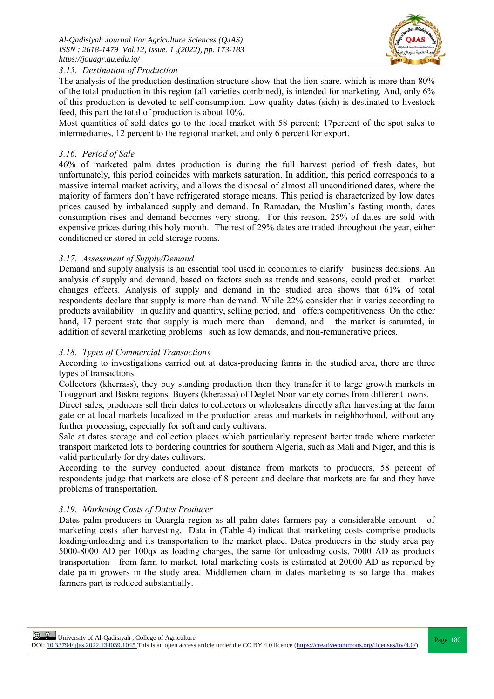

# *3.15. Destination of Production*

The analysis of the production destination structure show that the lion share, which is more than 80% of the total production in this region (all varieties combined), is intended for marketing. And, only 6% of this production is devoted to self-consumption. Low quality dates (sich) is destinated to livestock feed, this part the total of production is about 10%.

Most quantities of sold dates go to the local market with 58 percent; 17percent of the spot sales to intermediaries, 12 percent to the regional market, and only 6 percent for export.

# *3.16. Period of Sale*

46% of marketed palm dates production is during the full harvest period of fresh dates, but unfortunately, this period coincides with markets saturation. In addition, this period corresponds to a massive internal market activity, and allows the disposal of almost all unconditioned dates, where the majority of farmers don't have refrigerated storage means. This period is characterized by low dates prices caused by imbalanced supply and demand. In Ramadan, the Muslim's fasting month, dates consumption rises and demand becomes very strong. For this reason, 25% of dates are sold with expensive prices during this holy month. The rest of 29% dates are traded throughout the year, either conditioned or stored in cold storage rooms.

# *3.17. Assessment of Supply/Demand*

Demand and supply analysis is an essential tool used in economics to clarify business decisions. An analysis of supply and demand, based on factors such as trends and seasons, could predict market changes effects. Analysis of supply and demand in the studied area shows that 61% of total respondents declare that supply is more than demand. While 22% consider that it varies according to products availability in quality and quantity, selling period, and offers competitiveness. On the other hand, 17 percent state that supply is much more than demand, and the market is saturated, in addition of several marketing problems such as low demands, and non-remunerative prices.

# *3.18. Types of Commercial Transactions*

According to investigations carried out at dates-producing farms in the studied area, there are three types of transactions.

Collectors (kherrass), they buy standing production then they transfer it to large growth markets in Touggourt and Biskra regions. Buyers (kherassa) of Deglet Noor variety comes from different towns.

Direct sales, producers sell their dates to collectors or wholesalers directly after harvesting at the farm gate or at local markets localized in the production areas and markets in neighborhood, without any further processing, especially for soft and early cultivars.

Sale at dates storage and collection places which particularly represent barter trade where marketer transport marketed lots to bordering countries for southern Algeria, such as Mali and Niger, and this is valid particularly for dry dates cultivars.

According to the survey conducted about distance from markets to producers, 58 percent of respondents judge that markets are close of 8 percent and declare that markets are far and they have problems of transportation.

## *3.19. Marketing Costs of Dates Producer*

Dates palm producers in Ouargla region as all palm dates farmers pay a considerable amount of marketing costs after harvesting. Data in (Table 4) indicat that marketing costs comprise products loading/unloading and its transportation to the market place. Dates producers in the study area pay 5000-8000 AD per 100qx as loading charges, the same for unloading costs, 7000 AD as products transportation from farm to market, total marketing costs is estimated at 20000 AD as reported by date palm growers in the study area. Middlemen chain in dates marketing is so large that makes farmers part is reduced substantially.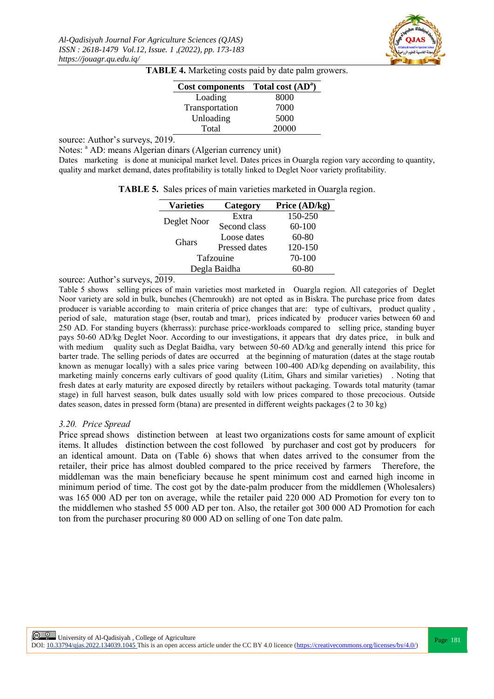

| Cost components Total cost (AD <sup>a</sup> ) |       |
|-----------------------------------------------|-------|
| Loading                                       | 8000  |
| Transportation                                | 7000  |
| Unloading                                     | 5000  |
| Total                                         | 20000 |

source: Author's surveys, 2019.

Notes: <sup>a</sup> AD: means Algerian dinars (Algerian currency unit)

Dates marketing is done at municipal market level. Dates prices in Ouargla region vary according to quantity, quality and market demand, dates profitability is totally linked to Deglet Noor variety profitability.

| <b>TABLE 5.</b> Sales prices of main varieties marketed in Ouargla region. |  |  |  |  |  |  |  |  |
|----------------------------------------------------------------------------|--|--|--|--|--|--|--|--|
|----------------------------------------------------------------------------|--|--|--|--|--|--|--|--|

| <b>Varieties</b> | Category             | Price (AD/kg) |
|------------------|----------------------|---------------|
| Deglet Noor      | Extra                | 150-250       |
|                  | Second class         | 60-100        |
| <b>Ghars</b>     | Loose dates          | $60-80$       |
|                  | <b>Pressed dates</b> | 120-150       |
| Tafzouine        |                      | 70-100        |
| Degla Baidha     |                      | 60-80         |

source: Author's surveys, 2019.

Table 5 shows selling prices of main varieties most marketed in Ouargla region. All categories of Deglet Noor variety are sold in bulk, bunches (Chemroukh) are not opted as in Biskra. The purchase price from dates producer is variable according to main criteria of price changes that are: type of cultivars, product quality , period of sale, maturation stage (bser, routab and tmar), prices indicated by producer varies between 60 and 250 AD. For standing buyers (kherrass): purchase price-workloads compared to selling price, standing buyer pays 50-60 AD/kg Deglet Noor. According to our investigations, it appears that dry dates price, in bulk and with medium quality such as Deglat Baidha, vary between 50-60 AD/kg and generally intend this price for barter trade. The selling periods of dates are occurred at the beginning of maturation (dates at the stage routab known as menugar locally) with a sales price varing between 100-400 AD/kg depending on availability, this marketing mainly concerns early cultivars of good quality (Litim, Ghars and similar varieties) . Noting that fresh dates at early maturity are exposed directly by retailers without packaging. Towards total maturity (tamar stage) in full harvest season, bulk dates usually sold with low prices compared to those precocious. Outside dates season, dates in pressed form (btana) are presented in different weights packages (2 to 30 kg)

#### *3.20. Price Spread*

Price spread shows distinction between at least two organizations costs for same amount of explicit items. It alludes distinction between the cost followed by purchaser and cost got by producers for an identical amount. Data on (Table 6) shows that when dates arrived to the consumer from the retailer, their price has almost doubled compared to the price received by farmers Therefore, the middleman was the main beneficiary because he spent minimum cost and earned high income in minimum period of time. The cost got by the date-palm producer from the middlemen (Wholesalers) was 165 000 AD per ton on average, while the retailer paid 220 000 AD Promotion for every ton to the middlemen who stashed 55 000 AD per ton. Also, the retailer got 300 000 AD Promotion for each ton from the purchaser procuring 80 000 AD on selling of one Ton date palm.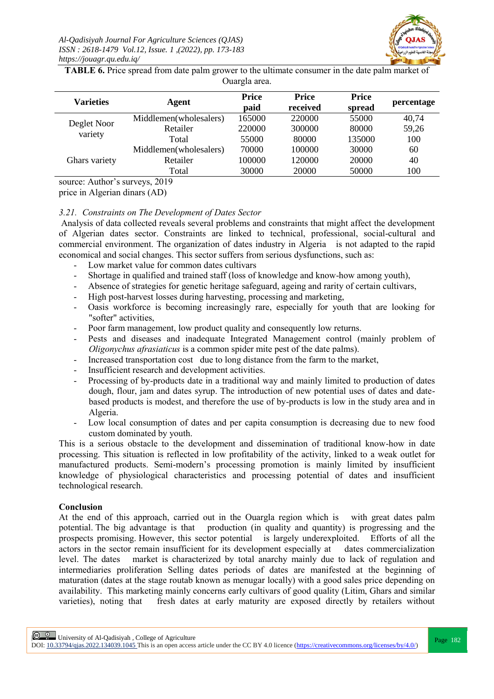

**TABLE 6.** Price spread from date palm grower to the ultimate consumer in the date palm market of Ouargla area.

| <b>Varieties</b>       | Agent                  | <b>Price</b> | <b>Price</b> | <b>Price</b> | percentage |
|------------------------|------------------------|--------------|--------------|--------------|------------|
|                        |                        | paid         | received     | spread       |            |
| Deglet Noor<br>variety | Middlemen(wholesalers) | 165000       | 220000       | 55000        | 40,74      |
|                        | Retailer               | 220000       | 300000       | 80000        | 59,26      |
|                        | Total                  | 55000        | 80000        | 135000       | 100        |
| Ghars variety          | Middlemen(wholesalers) | 70000        | 100000       | 30000        | 60         |
|                        | Retailer               | 100000       | 120000       | 20000        | 40         |
|                        | Total                  | 30000        | 20000        | 50000        | 100        |
|                        |                        |              |              |              |            |

source: Author's surveys, 2019

price in Algerian dinars (AD)

## *3.21. Constraints on The Development of Dates Sector*

Analysis of data collected reveals several problems and constraints that might affect the development of Algerian dates sector. Constraints are linked to technical, professional, social-cultural and commercial environment. The organization of dates industry in Algeria is not adapted to the rapid economical and social changes. This sector suffers from serious dysfunctions, such as:

- Low market value for common dates cultivars
- Shortage in qualified and trained staff (loss of knowledge and know-how among youth),
- Absence of strategies for genetic heritage safeguard, ageing and rarity of certain cultivars,
- High post-harvest losses during harvesting, processing and marketing,
- Oasis workforce is becoming increasingly rare, especially for youth that are looking for "softer" activities,
- Poor farm management, low product quality and consequently low returns.
- Pests and diseases and inadequate Integrated Management control (mainly problem of *Oligonychus afrasiaticus* is a common spider mite pest of the date palms).
- Increased transportation cost due to long distance from the farm to the market,
- Insufficient research and development activities.
- Processing of by-products date in a traditional way and mainly limited to production of dates dough, flour, jam and dates syrup. The introduction of new potential uses of dates and datebased products is modest, and therefore the use of by-products is low in the study area and in Algeria.
- Low local consumption of dates and per capita consumption is decreasing due to new food custom dominated by youth.

This is a serious obstacle to the development and dissemination of traditional know-how in date processing. This situation is reflected in low profitability of the activity, linked to a weak outlet for manufactured products. Semi-modern's processing promotion is mainly limited by insufficient knowledge of physiological characteristics and processing potential of dates and insufficient technological research.

## **Conclusion**

At the end of this approach, carried out in the Ouargla region which is with great dates palm potential. The big advantage is that production (in quality and quantity) is progressing and the prospects promising. However, this sector potential is largely underexploited. Efforts of all the actors in the sector remain insufficient for its development especially at dates commercialization level. The dates market is characterized by total anarchy mainly due to lack of regulation and intermediaries proliferation Selling dates periods of dates are manifested at the beginning of maturation (dates at the stage routab known as menugar locally) with a good sales price depending on availability. This marketing mainly concerns early cultivars of good quality (Litim, Ghars and similar varieties), noting that fresh dates at early maturity are exposed directly by retailers without